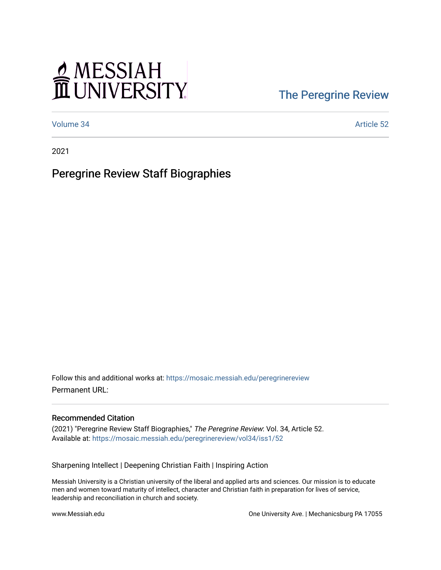# MESSIAH

### [The Peregrine Review](https://mosaic.messiah.edu/peregrinereview)

[Volume 34](https://mosaic.messiah.edu/peregrinereview/vol34) Article 52

2021

#### Peregrine Review Staff Biographies

Follow this and additional works at: [https://mosaic.messiah.edu/peregrinereview](https://mosaic.messiah.edu/peregrinereview?utm_source=mosaic.messiah.edu%2Fperegrinereview%2Fvol34%2Fiss1%2F52&utm_medium=PDF&utm_campaign=PDFCoverPages)  Permanent URL:

#### Recommended Citation

(2021) "Peregrine Review Staff Biographies," The Peregrine Review: Vol. 34, Article 52. Available at: [https://mosaic.messiah.edu/peregrinereview/vol34/iss1/52](https://mosaic.messiah.edu/peregrinereview/vol34/iss1/52?utm_source=mosaic.messiah.edu%2Fperegrinereview%2Fvol34%2Fiss1%2F52&utm_medium=PDF&utm_campaign=PDFCoverPages)

Sharpening Intellect | Deepening Christian Faith | Inspiring Action

Messiah University is a Christian university of the liberal and applied arts and sciences. Our mission is to educate men and women toward maturity of intellect, character and Christian faith in preparation for lives of service, leadership and reconciliation in church and society.